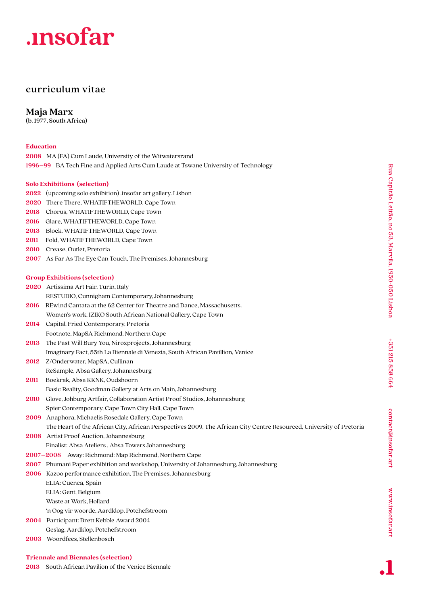# .insofar

# curriculum vitae

**Maja Marx**

(b. 1977, South Africa)

# **Education**

|                                     | <b>2008</b> MA (FA) Cum Laude, University of the Witwatersrand                     |
|-------------------------------------|------------------------------------------------------------------------------------|
|                                     | 1996–99 BA Tech Fine and Applied Arts Cum Laude at Tswane University of Technology |
|                                     |                                                                                    |
| <b>Solo Exhibitions (selection)</b> |                                                                                    |
|                                     | 2022 (upcoming solo exhibition) insofar art gallery. Lisbon                        |
|                                     | <b>2020</b> There There, WHATIFTHEWORLD, Cape Town                                 |
|                                     | 2018 Chorus, WHATIFTHEWORLD, Cape Town                                             |
|                                     | 2016 Glare, WHATIFTHEWORLD, Cape Town                                              |
|                                     | 2013 Block, WHATIFTHEWORLD, Cape Town                                              |
|                                     |                                                                                    |

- **2011** Fold, WHATIFTHEWORLD, Cape Town
- **2010** Crease, Outlet, Pretoria
- **2007** As Far As The Eye Can Touch, The Premises, Johannesburg

### **Group Exhibitions (selection)**

- **2020** Artissima Art Fair, Turin, Italy
- RESTUDIO, Cunnigham Contemporary, Johannesburg
- **2016** REwind Cantata at the 62 Center for Theatre and Dance, Massachusetts. Women's work, IZIKO South African National Gallery, Cape Town
- **2014** Capital, Fried Contemporary, Pretoria Footnote, MapSA Richmond, Northern Cape
- **2013** The Past Will Bury You, Niroxprojects, Johannesburg
- Imaginary Fact, 55th La Biennale di Venezia, South African Pavillion, Venice
- **2012** Z/Onderwater, MapSA, Cullinan ReSample, Absa Gallery, Johannesburg
- **2011** Boekrak, Absa KKNK, Oudshoorn
- Basic Reality, Goodman Gallery at Arts on Main, Johannesburg
- **2010** Glove, Johburg Artfair, Collaboration Artist Proof Studios, Johannesburg
- Spier Contemporary, Cape Town City Hall, Cape Town **2009** Anaphora, Michaelis Rosedale Gallery, Cape Town
- The Heart of the African City, African Perspectives 2009, The African City Centre Resourced, University of Pretoria
- **2008** Artist Proof Auction, Johannesburg
- Finalist: Absa Ateliers , Absa Towers Johannesburg
- **2007–2008** Away: Richmond: Map Richmond, Northern Cape
- **2007** Phumani Paper exhibition and workshop, University of Johannesburg, Johannesburg
- **2006** Kazoo performance exhibition, The Premises, Johannesburg
	- ELIA: Cuenca, Spain ELIA: Gent, Belgium Waste at Work, Hollard 'n Oog vir woorde, Aardklop, Potchefstroom
- **2004** Participant: Brett Kebble Award 2004
- Geslag, Aardklop, Potchefstroom
- **2003** Woordfees, Stellenbosch

**2013** South African Pavilion of the Venice Biennale